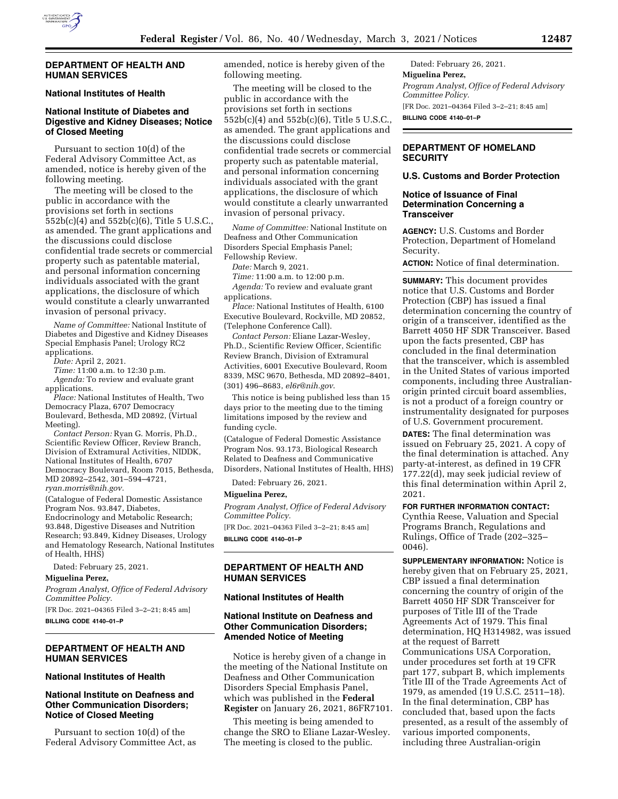

### **DEPARTMENT OF HEALTH AND HUMAN SERVICES**

### **National Institutes of Health**

# **National Institute of Diabetes and Digestive and Kidney Diseases; Notice of Closed Meeting**

Pursuant to section 10(d) of the Federal Advisory Committee Act, as amended, notice is hereby given of the following meeting.

The meeting will be closed to the public in accordance with the provisions set forth in sections 552b(c)(4) and 552b(c)(6), Title 5 U.S.C., as amended. The grant applications and the discussions could disclose confidential trade secrets or commercial property such as patentable material, and personal information concerning individuals associated with the grant applications, the disclosure of which would constitute a clearly unwarranted invasion of personal privacy.

*Name of Committee:* National Institute of Diabetes and Digestive and Kidney Diseases Special Emphasis Panel; Urology RC2 applications.

*Date:* April 2, 2021.

*Time:* 11:00 a.m. to 12:30 p.m.

*Agenda:* To review and evaluate grant applications.

*Place:* National Institutes of Health, Two Democracy Plaza, 6707 Democracy Boulevard, Bethesda, MD 20892, (Virtual Meeting).

*Contact Person:* Ryan G. Morris, Ph.D., Scientific Review Officer, Review Branch, Division of Extramural Activities, NIDDK, National Institutes of Health, 6707 Democracy Boulevard, Room 7015, Bethesda, MD 20892–2542, 301–594–4721, *[ryan.morris@nih.gov.](mailto:ryan.morris@nih.gov)* 

(Catalogue of Federal Domestic Assistance Program Nos. 93.847, Diabetes, Endocrinology and Metabolic Research; 93.848, Digestive Diseases and Nutrition Research; 93.849, Kidney Diseases, Urology and Hematology Research, National Institutes of Health, HHS)

Dated: February 25, 2021.

#### **Miguelina Perez,**

*Program Analyst, Office of Federal Advisory Committee Policy.* 

[FR Doc. 2021–04365 Filed 3–2–21; 8:45 am]

**BILLING CODE 4140–01–P** 

# **DEPARTMENT OF HEALTH AND HUMAN SERVICES**

## **National Institutes of Health**

## **National Institute on Deafness and Other Communication Disorders; Notice of Closed Meeting**

Pursuant to section 10(d) of the Federal Advisory Committee Act, as amended, notice is hereby given of the following meeting.

The meeting will be closed to the public in accordance with the provisions set forth in sections 552b(c)(4) and 552b(c)(6), Title 5 U.S.C., as amended. The grant applications and the discussions could disclose confidential trade secrets or commercial property such as patentable material, and personal information concerning individuals associated with the grant applications, the disclosure of which would constitute a clearly unwarranted invasion of personal privacy.

*Name of Committee:* National Institute on Deafness and Other Communication Disorders Special Emphasis Panel; Fellowship Review.

*Date:* March 9, 2021.

*Time:* 11:00 a.m. to 12:00 p.m.

*Agenda:* To review and evaluate grant applications.

*Place:* National Institutes of Health, 6100 Executive Boulevard, Rockville, MD 20852, (Telephone Conference Call).

*Contact Person:* Eliane Lazar-Wesley, Ph.D., Scientific Review Officer, Scientific Review Branch, Division of Extramural Activities, 6001 Executive Boulevard, Room 8339, MSC 9670, Bethesda, MD 20892–8401, (301) 496–8683, *[el6r@nih.gov](mailto:el6r@nih.gov)*.

This notice is being published less than 15 days prior to the meeting due to the timing limitations imposed by the review and funding cycle.

(Catalogue of Federal Domestic Assistance Program Nos. 93.173, Biological Research Related to Deafness and Communicative Disorders, National Institutes of Health, HHS)

Dated: February 26, 2021.

#### **Miguelina Perez,**

*Program Analyst, Office of Federal Advisory Committee Policy.* 

[FR Doc. 2021–04363 Filed 3–2–21; 8:45 am] **BILLING CODE 4140–01–P** 

## **DEPARTMENT OF HEALTH AND HUMAN SERVICES**

#### **National Institutes of Health**

## **National Institute on Deafness and Other Communication Disorders; Amended Notice of Meeting**

Notice is hereby given of a change in the meeting of the National Institute on Deafness and Other Communication Disorders Special Emphasis Panel, which was published in the **Federal Register** on January 26, 2021, 86FR7101.

This meeting is being amended to change the SRO to Eliane Lazar-Wesley. The meeting is closed to the public.

Dated: February 26, 2021. **Miguelina Perez,**  *Program Analyst, Office of Federal Advisory Committee Policy.*  [FR Doc. 2021–04364 Filed 3–2–21; 8:45 am] **BILLING CODE 4140–01–P** 

# **DEPARTMENT OF HOMELAND SECURITY**

## **U.S. Customs and Border Protection**

## **Notice of Issuance of Final Determination Concerning a Transceiver**

**AGENCY:** U.S. Customs and Border Protection, Department of Homeland Security.

**ACTION:** Notice of final determination.

**SUMMARY:** This document provides notice that U.S. Customs and Border Protection (CBP) has issued a final determination concerning the country of origin of a transceiver, identified as the Barrett 4050 HF SDR Transceiver. Based upon the facts presented, CBP has concluded in the final determination that the transceiver, which is assembled in the United States of various imported components, including three Australianorigin printed circuit board assemblies, is not a product of a foreign country or instrumentality designated for purposes of U.S. Government procurement.

**DATES:** The final determination was issued on February 25, 2021. A copy of the final determination is attached. Any party-at-interest, as defined in 19 CFR 177.22(d), may seek judicial review of this final determination within April 2, 2021.

## **FOR FURTHER INFORMATION CONTACT:**

Cynthia Reese, Valuation and Special Programs Branch, Regulations and Rulings, Office of Trade (202–325– 0046).

**SUPPLEMENTARY INFORMATION:** Notice is hereby given that on February 25, 2021, CBP issued a final determination concerning the country of origin of the Barrett 4050 HF SDR Transceiver for purposes of Title III of the Trade Agreements Act of 1979. This final determination, HQ H314982, was issued at the request of Barrett Communications USA Corporation, under procedures set forth at 19 CFR part 177, subpart B, which implements Title III of the Trade Agreements Act of 1979, as amended (19 U.S.C. 2511–18). In the final determination, CBP has concluded that, based upon the facts presented, as a result of the assembly of various imported components, including three Australian-origin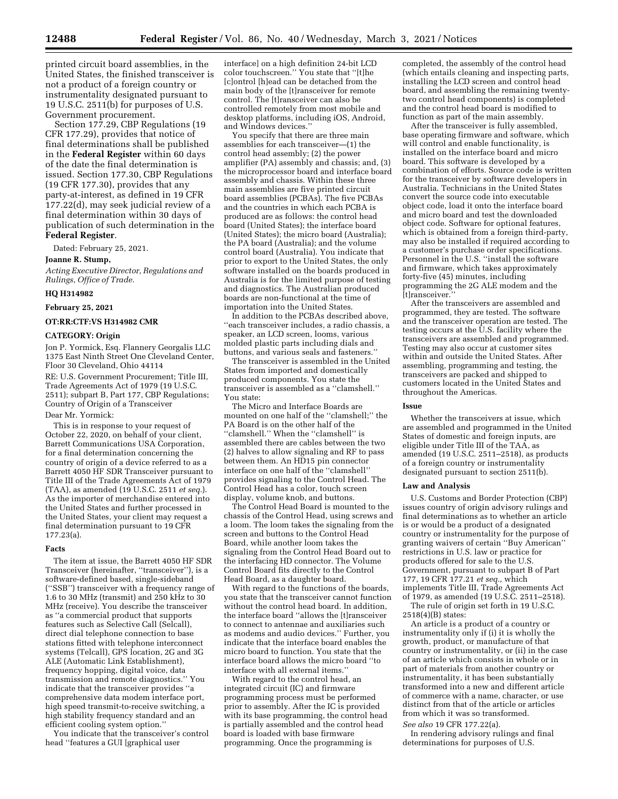printed circuit board assemblies, in the United States, the finished transceiver is not a product of a foreign country or instrumentality designated pursuant to 19 U.S.C. 2511(b) for purposes of U.S. Government procurement.

Section 177.29, CBP Regulations (19 CFR 177.29), provides that notice of final determinations shall be published in the **Federal Register** within 60 days of the date the final determination is issued. Section 177.30, CBP Regulations (19 CFR 177.30), provides that any party-at-interest, as defined in 19 CFR 177.22(d), may seek judicial review of a final determination within 30 days of publication of such determination in the **Federal Register**.

Dated: February 25, 2021.

#### **Joanne R. Stump,**

*Acting Executive Director, Regulations and Rulings, Office of Trade.* 

### **HQ H314982**

### **February 25, 2021**

### **OT:RR:CTF:VS H314982 CMR**

#### **CATEGORY: Origin**

Jon P. Yormick, Esq. Flannery Georgalis LLC 1375 East Ninth Street One Cleveland Center, Floor 30 Cleveland, Ohio 44114 RE: U.S. Government Procurement; Title III, Trade Agreements Act of 1979 (19 U.S.C. 2511); subpart B, Part 177, CBP Regulations; Country of Origin of a Transceiver Dear Mr. Yormick:

This is in response to your request of

October 22, 2020, on behalf of your client, Barrett Communications USA Corporation, for a final determination concerning the country of origin of a device referred to as a Barrett 4050 HF SDR Transceiver pursuant to Title III of the Trade Agreements Act of 1979 (TAA), as amended (19 U.S.C. 2511 *et seq.*). As the importer of merchandise entered into the United States and further processed in the United States, your client may request a final determination pursuant to 19 CFR 177.23(a).

#### **Facts**

The item at issue, the Barrett 4050 HF SDR Transceiver (hereinafter, ''transceiver''), is a software-defined based, single-sideband (''SSB'') transceiver with a frequency range of 1.6 to 30 MHz (transmit) and  $250$  kHz to  $30$ MHz (receive). You describe the transceiver as ''a commercial product that supports features such as Selective Call (Selcall), direct dial telephone connection to base stations fitted with telephone interconnect systems (Telcall), GPS location, 2G and 3G ALE (Automatic Link Establishment), frequency hopping, digital voice, data transmission and remote diagnostics.'' You indicate that the transceiver provides ''a comprehensive data modem interface port, high speed transmit-to-receive switching, a high stability frequency standard and an efficient cooling system option.''

You indicate that the transceiver's control head ''features a GUI [graphical user

interface] on a high definition 24-bit LCD color touchscreen.'' You state that ''[t]he [c]ontrol [h]ead can be detached from the main body of the [t]ransceiver for remote control. The [t]ransceiver can also be controlled remotely from most mobile and desktop platforms, including iOS, Android, and Windows devices.''

You specify that there are three main assemblies for each transceiver—(1) the control head assembly; (2) the power amplifier (PA) assembly and chassis; and, (3) the microprocessor board and interface board assembly and chassis. Within these three main assemblies are five printed circuit board assemblies (PCBAs). The five PCBAs and the countries in which each PCBA is produced are as follows: the control head board (United States); the interface board (United States); the micro board (Australia); the PA board (Australia); and the volume control board (Australia). You indicate that prior to export to the United States, the only software installed on the boards produced in Australia is for the limited purpose of testing and diagnostics. The Australian produced boards are non-functional at the time of importation into the United States.

In addition to the PCBAs described above, ''each transceiver includes, a radio chassis, a speaker, an LCD screen, looms, various molded plastic parts including dials and buttons, and various seals and fasteners.''

The transceiver is assembled in the United States from imported and domestically produced components. You state the transceiver is assembled as a ''clamshell.'' You state:

The Micro and Interface Boards are mounted on one half of the ''clamshell;'' the PA Board is on the other half of the ''clamshell.'' When the ''clamshell'' is assembled there are cables between the two (2) halves to allow signaling and RF to pass between them. An HD15 pin connector interface on one half of the ''clamshell'' provides signaling to the Control Head. The Control Head has a color, touch screen display, volume knob, and buttons.

The Control Head Board is mounted to the chassis of the Control Head, using screws and a loom. The loom takes the signaling from the screen and buttons to the Control Head Board, while another loom takes the signaling from the Control Head Board out to the interfacing HD connector. The Volume Control Board fits directly to the Control Head Board, as a daughter board.

With regard to the functions of the boards, you state that the transceiver cannot function without the control head board. In addition, the interface board ''allows the [t]ransceiver to connect to antennae and auxiliaries such as modems and audio devices.'' Further, you indicate that the interface board enables the micro board to function. You state that the interface board allows the micro board ''to interface with all external items.''

With regard to the control head, an integrated circuit (IC) and firmware programming process must be performed prior to assembly. After the IC is provided with its base programming, the control head is partially assembled and the control head board is loaded with base firmware programming. Once the programming is

completed, the assembly of the control head (which entails cleaning and inspecting parts, installing the LCD screen and control head board, and assembling the remaining twentytwo control head components) is completed and the control head board is modified to function as part of the main assembly.

After the transceiver is fully assembled, base operating firmware and software, which will control and enable functionality, is installed on the interface board and micro board. This software is developed by a combination of efforts. Source code is written for the transceiver by software developers in Australia. Technicians in the United States convert the source code into executable object code, load it onto the interface board and micro board and test the downloaded object code. Software for optional features, which is obtained from a foreign third-party, may also be installed if required according to a customer's purchase order specifications. Personnel in the U.S. "install the software and firmware, which takes approximately forty-five (45) minutes, including programming the 2G ALE modem and the [t]ransceiver.''

After the transceivers are assembled and programmed, they are tested. The software and the transceiver operation are tested. The testing occurs at the  $\tilde{U}$ . S. facility where the transceivers are assembled and programmed. Testing may also occur at customer sites within and outside the United States. After assembling, programming and testing, the transceivers are packed and shipped to customers located in the United States and throughout the Americas.

#### **Issue**

Whether the transceivers at issue, which are assembled and programmed in the United States of domestic and foreign inputs, are eligible under Title III of the TAA, as amended (19 U.S.C. 2511–2518), as products of a foreign country or instrumentality designated pursuant to section 2511(b).

#### **Law and Analysis**

U.S. Customs and Border Protection (CBP) issues country of origin advisory rulings and final determinations as to whether an article is or would be a product of a designated country or instrumentality for the purpose of granting waivers of certain ''Buy American'' restrictions in U.S. law or practice for products offered for sale to the U.S. Government, pursuant to subpart B of Part 177, 19 CFR 177.21 *et seq.,* which implements Title III, Trade Agreements Act of 1979, as amended (19 U.S.C. 2511–2518).

The rule of origin set forth in 19 U.S.C. 2518(4)(B) states:

An article is a product of a country or instrumentality only if (i) it is wholly the growth, product, or manufacture of that country or instrumentality, or (ii) in the case of an article which consists in whole or in part of materials from another country or instrumentality, it has been substantially transformed into a new and different article of commerce with a name, character, or use distinct from that of the article or articles from which it was so transformed. *See also* 19 CFR 177.22(a).

In rendering advisory rulings and final determinations for purposes of U.S.